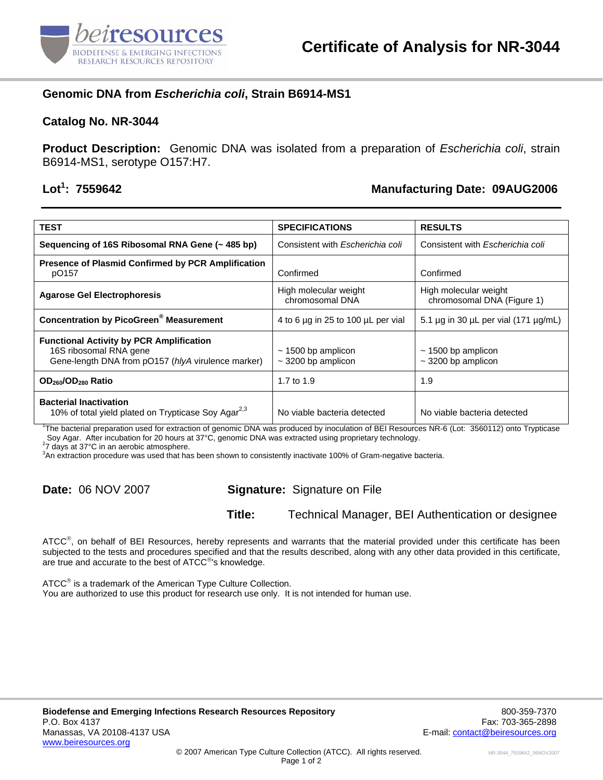

# **Genomic DNA from** *Escherichia coli***, Strain B6914-MS1**

#### **Catalog No. NR-3044**

**Product Description:** Genomic DNA was isolated from a preparation of *Escherichia coli*, strain B6914-MS1, serotype O157:H7.

# Lot<sup>1</sup>: 7559642

#### **: 7559642 Manufacturing Date: 09AUG2006**

| <b>TEST</b>                                                                                                                     | <b>SPECIFICATIONS</b>                              | <b>RESULTS</b>                                      |
|---------------------------------------------------------------------------------------------------------------------------------|----------------------------------------------------|-----------------------------------------------------|
| Sequencing of 16S Ribosomal RNA Gene (~485 bp)                                                                                  | Consistent with <i>Escherichia coli</i>            | Consistent with <i>Escherichia coli</i>             |
| <b>Presence of Plasmid Confirmed by PCR Amplification</b><br>pO157                                                              | Confirmed                                          | Confirmed                                           |
| <b>Agarose Gel Electrophoresis</b>                                                                                              | High molecular weight<br>chromosomal DNA           | High molecular weight<br>chromosomal DNA (Figure 1) |
| <b>Concentration by PicoGreen® Measurement</b>                                                                                  | 4 to 6 µg in 25 to 100 µL per vial                 | 5.1 $\mu$ g in 30 $\mu$ L per vial (171 $\mu$ g/mL) |
| <b>Functional Activity by PCR Amplification</b><br>16S ribosomal RNA gene<br>Gene-length DNA from pO157 (hlyA virulence marker) | $\sim$ 1500 bp amplicon<br>$\sim$ 3200 bp amplicon | $\sim$ 1500 bp amplicon<br>$\sim$ 3200 bp amplicon  |
| OD <sub>260</sub> /OD <sub>280</sub> Ratio                                                                                      | 1.7 to $1.9$                                       | 1.9                                                 |
| <b>Bacterial Inactivation</b><br>10% of total yield plated on Trypticase Soy Agar <sup>2,3</sup>                                | No viable bacteria detected                        | No viable bacteria detected                         |

1 The bacterial preparation used for extraction of genomic DNA was produced by inoculation of BEI Resources NR-6 (Lot: 3560112) onto Trypticase Soy Agar. After incubation for 20 hours at 37°C, genomic DNA was extracted using proprietary technology.

7 days at 37°C in an aerobic atmosphere.

3 An extraction procedure was used that has been shown to consistently inactivate 100% of Gram-negative bacteria.

### **Date:** 06 NOV 2007 **Signature:** Signature on File

**Title:** Technical Manager, BEI Authentication or designee

ATCC<sup>®</sup>, on behalf of BEI Resources, hereby represents and warrants that the material provided under this certificate has been subjected to the tests and procedures specified and that the results described, along with any other data provided in this certificate, are true and accurate to the best of ATCC®'s knowledge.

ATCC<sup>®</sup> is a trademark of the American Type Culture Collection. You are authorized to use this product for research use only. It is not intended for human use.